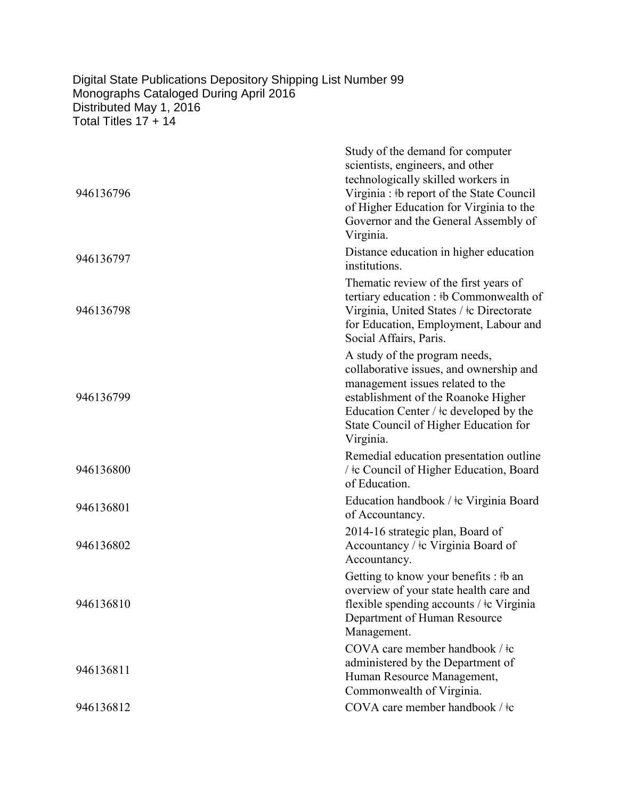## Digital State Publications Depository Shipping List Number 99 Monographs Cataloged During April 2016 Distributed May 1, 2016 Total Titles 17 + 14

| 946136796 | Study of the demand for computer<br>scientists, engineers, and other<br>technologically skilled workers in<br>Virginia : #b report of the State Council<br>of Higher Education for Virginia to the<br>Governor and the General Assembly of<br>Virginia.  |
|-----------|----------------------------------------------------------------------------------------------------------------------------------------------------------------------------------------------------------------------------------------------------------|
| 946136797 | Distance education in higher education<br>institutions.                                                                                                                                                                                                  |
| 946136798 | The matic review of the first years of<br>tertiary education : #b Commonwealth of<br>Virginia, United States / ‡c Directorate<br>for Education, Employment, Labour and<br>Social Affairs, Paris.                                                         |
| 946136799 | A study of the program needs,<br>collaborative issues, and ownership and<br>management issues related to the<br>establishment of the Roanoke Higher<br>Education Center / $\pm c$ developed by the<br>State Council of Higher Education for<br>Virginia. |
| 946136800 | Remedial education presentation outline<br>/ ‡c Council of Higher Education, Board<br>of Education.                                                                                                                                                      |
| 946136801 | Education handbook / ‡c Virginia Board<br>of Accountancy.                                                                                                                                                                                                |
| 946136802 | 2014-16 strategic plan, Board of<br>Accountancy / $\pm c$ Virginia Board of<br>Accountancy.                                                                                                                                                              |
| 946136810 | Getting to know your benefits : #b an<br>overview of your state health care and<br>flexible spending accounts / $\pm c$ Virginia<br>Department of Human Resource<br>Management.                                                                          |
| 946136811 | COVA care member handbook / ‡c<br>administered by the Department of<br>Human Resource Management,<br>Commonwealth of Virginia.                                                                                                                           |
| 946136812 | COVA care member handbook / ‡c                                                                                                                                                                                                                           |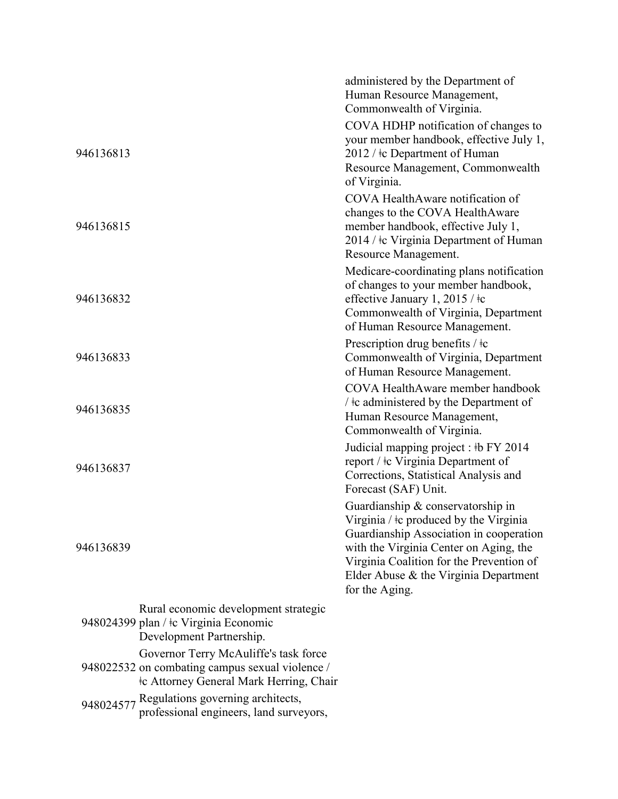|           |                                                                                                                                            | administered by the Department of<br>Human Resource Management,                                                                                                                                                                                                         |
|-----------|--------------------------------------------------------------------------------------------------------------------------------------------|-------------------------------------------------------------------------------------------------------------------------------------------------------------------------------------------------------------------------------------------------------------------------|
|           |                                                                                                                                            | Commonwealth of Virginia.                                                                                                                                                                                                                                               |
| 946136813 |                                                                                                                                            | COVA HDHP notification of changes to<br>your member handbook, effective July 1,<br>2012 / ‡c Department of Human<br>Resource Management, Commonwealth<br>of Virginia.                                                                                                   |
| 946136815 |                                                                                                                                            | COVA HealthAware notification of<br>changes to the COVA HealthAware<br>member handbook, effective July 1,<br>2014 / ‡c Virginia Department of Human<br>Resource Management.                                                                                             |
| 946136832 |                                                                                                                                            | Medicare-coordinating plans notification<br>of changes to your member handbook,<br>effective January 1, 2015 / ‡c<br>Commonwealth of Virginia, Department<br>of Human Resource Management.                                                                              |
| 946136833 |                                                                                                                                            | Prescription drug benefits / $\pm c$<br>Commonwealth of Virginia, Department<br>of Human Resource Management.                                                                                                                                                           |
| 946136835 |                                                                                                                                            | COVA HealthAware member handbook<br>$\frac{1}{2}$ +c administered by the Department of<br>Human Resource Management,<br>Commonwealth of Virginia.                                                                                                                       |
| 946136837 |                                                                                                                                            | Judicial mapping project : #b FY 2014<br>report / ‡c Virginia Department of<br>Corrections, Statistical Analysis and<br>Forecast (SAF) Unit.                                                                                                                            |
| 946136839 |                                                                                                                                            | Guardianship & conservatorship in<br>Virginia / ‡c produced by the Virginia<br>Guardianship Association in cooperation<br>with the Virginia Center on Aging, the<br>Virginia Coalition for the Prevention of<br>Elder Abuse & the Virginia Department<br>for the Aging. |
|           | Rural economic development strategic<br>948024399 plan / ‡c Virginia Economic<br>Development Partnership.                                  |                                                                                                                                                                                                                                                                         |
|           | Governor Terry McAuliffe's task force<br>948022532 on combating campus sexual violence /<br><b>‡c Attorney General Mark Herring, Chair</b> |                                                                                                                                                                                                                                                                         |
|           | 948024577 Regulations governing architects,<br>professional engineers, land surveyors,                                                     |                                                                                                                                                                                                                                                                         |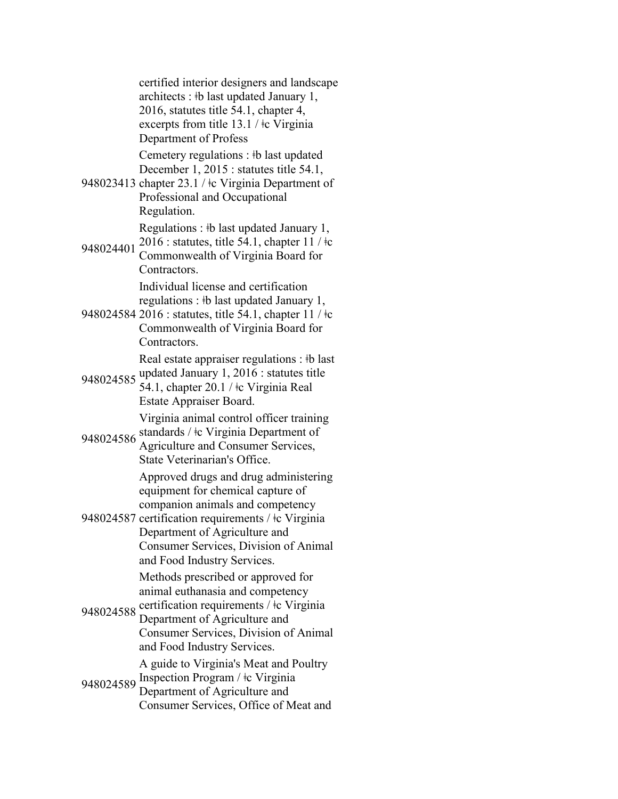certified interior designers and landscape architects : ǂb last updated January 1, 2016, statutes title 54.1, chapter 4, excerpts from title 13.1 / ǂc Virginia Department of Profess 948023413 chapter 23.1 / ‡c Virginia Department of Cemetery regulations : ǂb last updated December 1, 2015 : statutes title 54.1, Professional and Occupational Regulation. 948024401 Regulations : ‡b last updated January 1,  $2016$ : statutes, title 54.1, chapter 11 /  $\pm$ Commonwealth of Virginia Board for Contractors. 948024584 2016 : statutes, title 54.1, chapter 11 / ǂc Individual license and certification regulations : ǂb last updated January 1, Commonwealth of Virginia Board for Contractors. 948024585 Real estate appraiser regulations : ‡b last updated January 1, 2016 : statutes title 54.1, chapter 20.1 / ǂc Virginia Real Estate Appraiser Board. 948024586 standards / ‡c Virginia Department of Virginia animal control officer training Agriculture and Consumer Services, State Veterinarian's Office. 948024587 certification requirements / ǂc Virginia Approved drugs and drug administering equipment for chemical capture of companion animals and competency Department of Agriculture and Consumer Services, Division of Animal and Food Industry Services. 948024588 certification requirements / ‡c Virginia Methods prescribed or approved for animal euthanasia and competency Department of Agriculture and Consumer Services, Division of Animal and Food Industry Services. 948024589 Inspection Program / ‡c Virginia A guide to Virginia's Meat and Poultry Department of Agriculture and Consumer Services, Office of Meat and